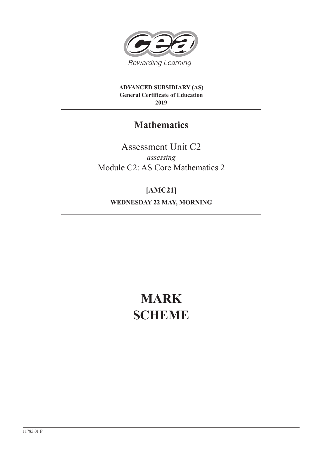

**ADVANCED SUBSIDIARY (AS) General Certificate of Education 2019**

## **Mathematics**

Assessment Unit C2 *assessing* Module C2: AS Core Mathematics 2

**[AMC21] WEDNESDAY 22 MAY, MORNING**

# **MARK SCHEME**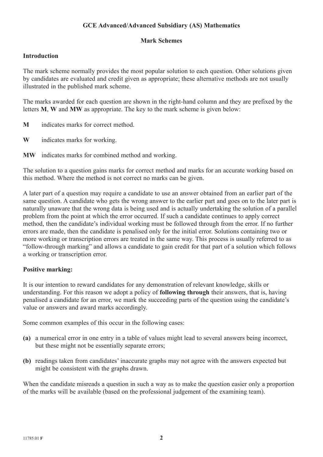### **GCE Advanced/Advanced Subsidiary (AS) Mathematics**

#### **Mark Schemes**

#### **Introduction**

The mark scheme normally provides the most popular solution to each question. Other solutions given by candidates are evaluated and credit given as appropriate; these alternative methods are not usually illustrated in the published mark scheme.

The marks awarded for each question are shown in the right-hand column and they are prefixed by the letters **M**, **W** and **MW** as appropriate. The key to the mark scheme is given below:

- **M** indicates marks for correct method.
- **W** indicates marks for working.
- **MW** indicates marks for combined method and working.

The solution to a question gains marks for correct method and marks for an accurate working based on this method. Where the method is not correct no marks can be given.

A later part of a question may require a candidate to use an answer obtained from an earlier part of the same question. A candidate who gets the wrong answer to the earlier part and goes on to the later part is naturally unaware that the wrong data is being used and is actually undertaking the solution of a parallel problem from the point at which the error occurred. If such a candidate continues to apply correct method, then the candidate's individual working must be followed through from the error. If no further errors are made, then the candidate is penalised only for the initial error. Solutions containing two or more working or transcription errors are treated in the same way. This process is usually referred to as "follow-through marking" and allows a candidate to gain credit for that part of a solution which follows a working or transcription error.

#### **Positive marking:**

It is our intention to reward candidates for any demonstration of relevant knowledge, skills or understanding. For this reason we adopt a policy of **following through** their answers, that is, having penalised a candidate for an error, we mark the succeeding parts of the question using the candidate's value or answers and award marks accordingly.

Some common examples of this occur in the following cases:

- **(a)** a numerical error in one entry in a table of values might lead to several answers being incorrect, but these might not be essentially separate errors;
- **(b)** readings taken from candidates' inaccurate graphs may not agree with the answers expected but might be consistent with the graphs drawn.

When the candidate misreads a question in such a way as to make the question easier only a proportion of the marks will be available (based on the professional judgement of the examining team).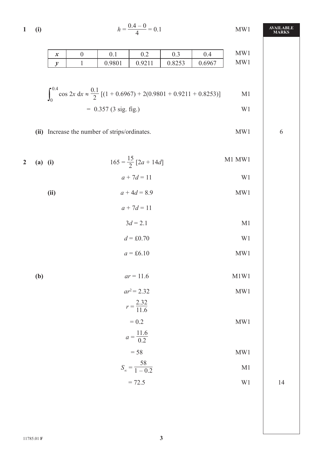1 (i) 
$$
h = \frac{0.4 - 0}{4} = 0.1
$$
 MW1 **AVAILABI**  
MWI

| 14.4<br>∼ | v. i               | $\sim$ $\sim$<br>◡.∠ | ∪.⊃                    | ∸<br>v. 1 | <b>. </b><br>$\mathbf{M}$<br><b>NI</b> |
|-----------|--------------------|----------------------|------------------------|-----------|----------------------------------------|
|           | N 0901<br>v. 200 1 | Q211<br>$-11$<br>◡.৴ | 0252<br>0.02 <i>JJ</i> | 0.6967    | <b>TTT</b><br>M<br>A.                  |

$$
\int_0^{0.4} \cos 2x \, dx \approx \frac{0.1}{2} [(1 + 0.6967) + 2(0.9801 + 0.9211 + 0.8253)] \quad \text{M1}
$$
  
= 0.357 (3 sig. fig.)

(ii) Increase the number of strips/ordinates. MW1 6

2 (a) (i) 
$$
165 = \frac{15}{2} [2a + 14d]
$$
  
\t $a + 7d = 11$   
\t(ii)  $a + 4d = 8.9$   
\t $a + 7d = 11$   
\t $3d = 2.1$   
\t $d = \text{\textsterling}0.70$   
\t $\text{W1}$   
\t $d = \text{\textsterling}0.70$   
\t $\text{W2}$   
\t $\text{W3}$ 

 **(b)** *ar* = 11.6 M1W1

$$
ar^{2} = 2.32
$$
 MW1  
\n
$$
r = \frac{2.32}{11.6}
$$
  
\n
$$
= 0.2
$$
 MW1  
\n
$$
a = \frac{11.6}{0.2}
$$
  
\n
$$
= 58
$$
 MW1  
\n
$$
S_{\infty} = \frac{58}{1 - 0.2}
$$
 M1

 $= 72.5$  W1 14

**AVAILABLE**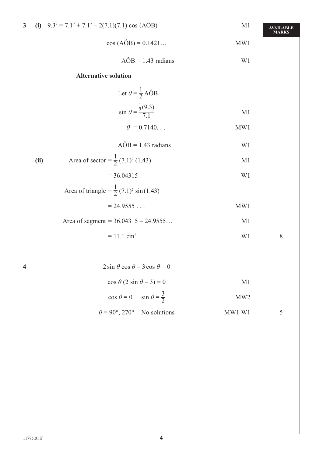| $\overline{\mathbf{3}}$ |      | (i) $9.3^2 = 7.1^2 + 7.1^2 - 2(7.1)(7.1) \cos (AOB)$          | M1                       | <b>AVAILABLE</b><br><b>MARKS</b> |
|-------------------------|------|---------------------------------------------------------------|--------------------------|----------------------------------|
|                         |      | $cos (A\hat{O}B) = 0.1421$                                    | MW1                      |                                  |
|                         |      | $\angle AOB = 1.43$ radians                                   | W1                       |                                  |
|                         |      | <b>Alternative solution</b>                                   |                          |                                  |
|                         |      | Let $\theta = \frac{1}{2} A \hat{O} B$                        |                          |                                  |
|                         |      | $\sin \theta = \frac{\frac{1}{2}(9.3)}{7.1}$                  | M1                       |                                  |
|                         |      | $\theta = 0.7140$                                             | MW1                      |                                  |
|                         |      | $\angle AOB = 1.43$ radians                                   | W1                       |                                  |
|                         | (ii) | Area of sector = $\frac{1}{2}$ (7.1) <sup>2</sup> (1.43)      | M1                       |                                  |
|                         |      | $= 36.04315$                                                  | W1                       |                                  |
|                         |      | Area of triangle = $\frac{1}{2}$ (7.1) <sup>2</sup> sin(1.43) |                          |                                  |
|                         |      | $= 24.9555$                                                   | MW1                      |                                  |
|                         |      | Area of segment = $36.04315 - 24.9555$                        | M1                       |                                  |
|                         |      | $= 11.1$ cm <sup>2</sup>                                      | W1                       | $\, 8$                           |
|                         |      |                                                               |                          |                                  |
| 4                       |      | $2 \sin \theta \cos \theta - 3 \cos \theta = 0$               |                          |                                  |
|                         |      | $\cos \theta (2 \sin \theta - 3) = 0$                         | M1                       |                                  |
|                         |      | $\cos \theta = 0$ $\sin \theta = \frac{3}{2}$                 | MW2                      |                                  |
|                         |      | $\theta = 90^{\circ}, 270^{\circ}$ No solutions               | $\text{MW1} \ \text{W1}$ | 5                                |
|                         |      |                                                               |                          |                                  |
|                         |      |                                                               |                          |                                  |
|                         |      |                                                               |                          |                                  |
|                         |      |                                                               |                          |                                  |
|                         |      |                                                               |                          |                                  |
|                         |      |                                                               |                          |                                  |
|                         |      |                                                               |                          |                                  |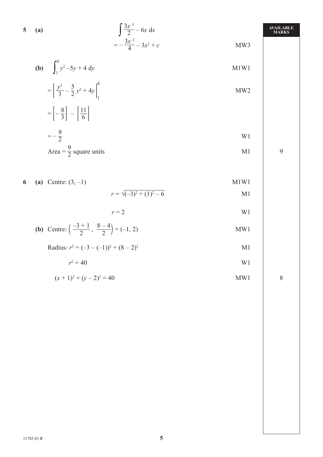5 (a) 
$$
\int \frac{3x^{-3}}{2} - 6x \, dx
$$
  
=  $-\frac{3x^{-2}}{4} - 3x^2 + c$  MWS

**(b)** 
$$
\int_{1}^{4} y^{2} -5y + 4 \ dy
$$
 M1W1

$$
= \left[\frac{y^3}{3} - \frac{5}{2}y^2 + 4y\right]_1^4
$$
 MW2

$$
= \left[-\frac{8}{3}\right] - \left[\frac{11}{6}\right]
$$

$$
= -\frac{9}{2}
$$

$$
= -\frac{3}{2}
$$
 W1  
Area =  $\frac{9}{2}$  square units 19

**6** (a) Centre:  $(3, -1)$  M1W1

$$
r = \sqrt{(-3)^2 + (1)^2 - 6}
$$
 M1

 $r = 2$  W1

**(b)** Centre: 
$$
\left(\frac{-3+1}{2}, \frac{8-4}{2}\right) = (-1, 2)
$$
 MW1

Radius:  $r^2 = (-3 - (-1))^2 + (8 - 2)^2$ M1

$$
r^2 = 40
$$
 W1

$$
(x+1)^2 + (y-2)^2 = 40
$$
 MW1 8

+ *c* MW3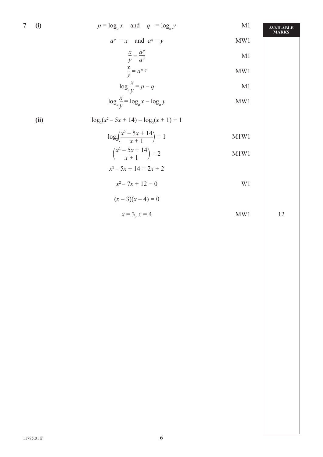7 (i) 
$$
p = \log_a x
$$
 and  $q = \log_a y$  M1

*ap*

$$
= x \quad \text{and} \quad a^q = y
$$

$$
\frac{x}{y} = \frac{a^p}{a^q}
$$
 M1  

$$
\frac{x}{y} = a^{p-q}
$$
 MW1

$$
= a^{p-q}
$$
 MW1

$$
\log_a \frac{x}{y} = p - q \tag{M1}
$$

$$
\log_a \frac{x}{y} = \log_a x - \log_a y
$$
 MW1

(ii) 
$$
\log_2(x^2 - 5x + 14) - \log_2(x + 1) = 1
$$

$$
\log_2\left(\frac{x^2 - 5x + 14}{x + 1}\right) = 1
$$
 M1W1

$$
\left(\frac{x^2 - 5x + 14}{x + 1}\right) = 2
$$

$$
x^2 - 5x + 14 = 2x + 2
$$

$$
x^2 - 7x + 12 = 0
$$
 W1

$$
(x-3)(x-4) = 0
$$

$$
x = 3, x = 4
$$
 MW1 12

**AVAILABLE MARKS**

= *y* MW1